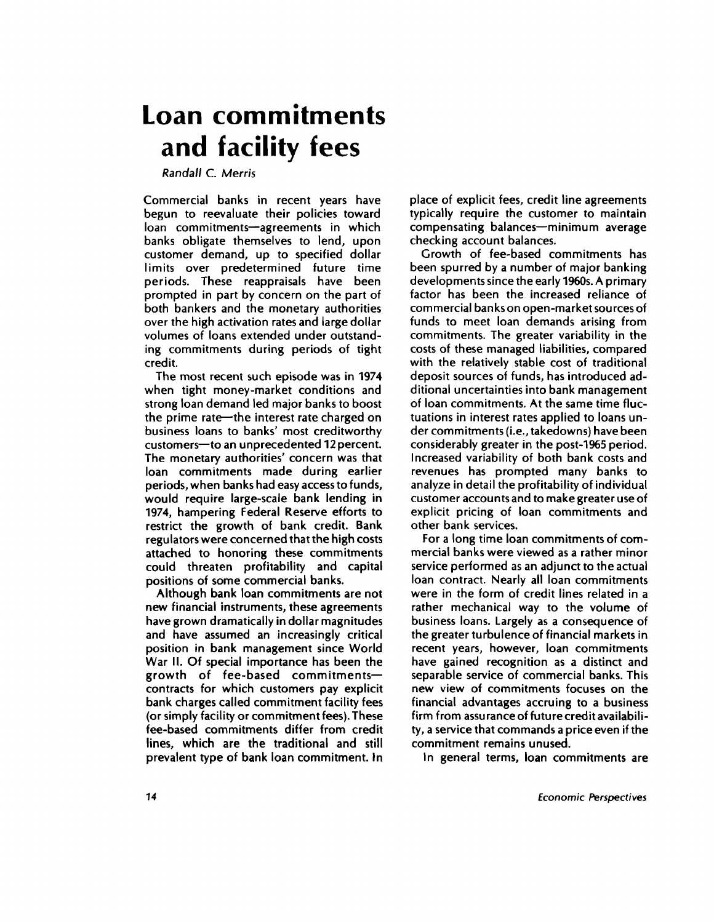# **Loan commitments and facility fees**

*Randall* **C.** *Merris*

**Commercial banks in recent years have begun to reevaluate their policies toward loan commitments—agreements in which banks obligate themselves to lend, upon customer demand, up to specified dollar limits over predetermined future time periods. These reappraisals have been prompted in part by concern on the part of both bankers and the monetary authorities over the high activation rates and large dollar volumes of loans extended under outstanding commitments during periods of tight credit.**

**The most recent such episode was in 1974 when tight money-market conditions and strong loan demand led major banks to boost the prime rate—the interest rate charged on business loans to banks' most creditworthy customers—to an unprecedented 12 percent. The monetary authorities' concern was that loan commitments made during earlier periods, when banks had easy access to funds, would require large-scale bank lending in 1974, hampering Federal Reserve efforts to restrict the growth of bank credit. Bank regulators were concerned that the high costs attached to honoring these commitments could threaten profitability and capital positions of some commercial banks.**

**Although bank loan commitments are not new financial instruments, these agreements have grown dramatically in dollar magnitudes and have assumed an increasingly critical position in bank management since World War II. Of special importance has been the growth of fee-based commitments contracts for which customers pay explicit bank charges called commitment facility fees (or simply facility or commitment fees). These fee-based commitments differ from credit lines, which are the traditional and still prevalent type of bank loan commitment. In** **place of explicit fees, credit line agreements typically require the customer to maintain compensating balances—minimum average checking account balances.**

**Growth of fee-based commitments has been spurred by a number of major banking developments since the early 1960s. A primary factor has been the increased reliance of commercial banks on open-market sources of funds to meet loan demands arising from commitments. The greater variability in the costs of these managed liabilities, compared with the relatively stable cost of traditional deposit sources of funds, has introduced additional uncertainties into bank management of loan commitments. At the same time fluctuations in interest rates applied to loans under commitments (i.e., takedowns) have been considerably greater in the post-1965 period. Increased variability of both bank costs and revenues has prompted many banks to analyze in detail the profitability of individual customer accounts and to make greater use of explicit pricing of loan commitments and other bank services.**

**For a long time loan commitments of commercial banks were viewed as a rather minor service performed as an adjunct to the actual loan contract. Nearly all loan commitments were in the form of credit lines related in a rather mechanical way to the volume of business loans. Largely as a consequence of the greater turbulence of financial markets in recent years, however, loan commitments have gained recognition as a distinct and separable service of commercial banks. This new view of commitments focuses on the financial advantages accruing to a business firm from assurance of future credit availability, a service that commands a price even if the commitment remains unused.**

**In general terms, loan commitments are**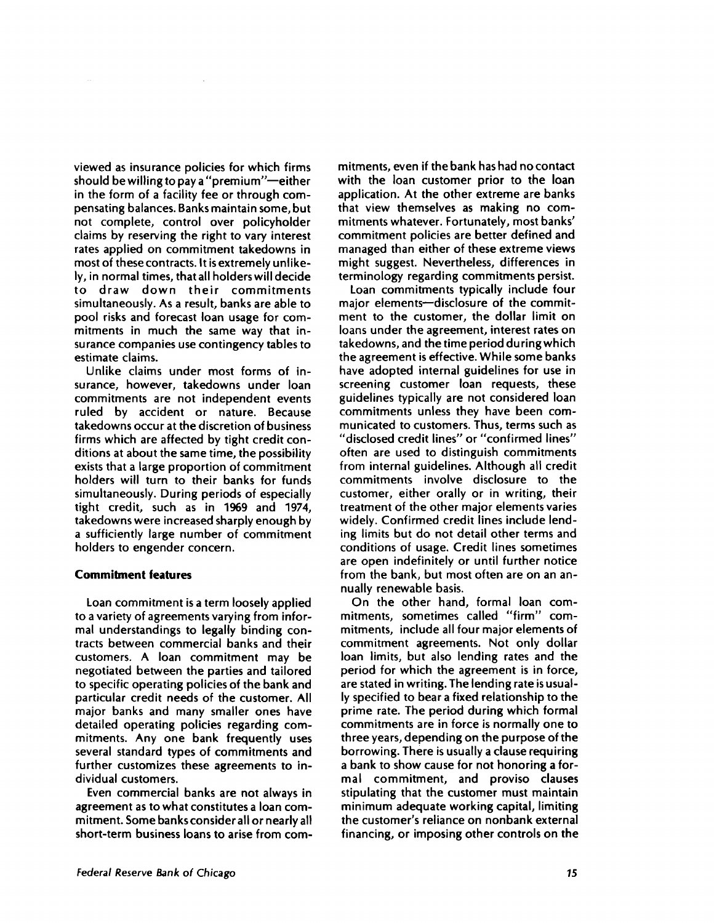**viewed as insurance policies for which firms should be willing to pay a "premium"—either in the form of a facility fee or through compensating balances. Banks maintain some, but not complete, control over policyholder claims by reserving the right to vary interest rates applied on commitment takedowns in most of these contracts. It is extremely unlikely, in normal times, that all holders will decide to draw down their commitments simultaneously. As a result, banks are able to pool risks and forecast loan usage for commitments in much the same way that insurance companies use contingency tables to estimate claims.**

**Unlike claims under most forms of insurance, however, takedowns under loan commitments are not independent events ruled by accident or nature. Because takedowns occur at the discretion of business firms which are affected by tight credit conditions at about the same time, the possibility exists that a large proportion of commitment holders will turn to their banks for funds simultaneously. During periods of especially tight credit, such as in 1969 and 1974, takedowns were increased sharply enough by a sufficiently large number of commitment holders to engender concern.**

# **Commitment features**

**Loan commitment is a term loosely applied to a variety of agreements varying from informal understandings to legally binding contracts between commercial banks and their customers. A loan commitment may be negotiated between the parties and tailored to specific operating policies of the bank and particular credit needs of the customer. All major banks and many smaller ones have detailed operating policies regarding commitments. Any one bank frequently uses several standard types of commitments and further customizes these agreements to individual customers.**

**Even commercial banks are not always in agreement as to what constitutes a loan commitment. Some banks consider all or nearly all** short-term business loans to arise from com**mitments, even if the bank has had no contact with the loan customer prior to the loan application. At the other extreme are banks that view themselves as making no commitments whatever. Fortunately, most banks' commitment policies are better defined and managed than either of these extreme views might suggest. Nevertheless, differences in terminology regarding commitments persist.**

**Loan commitments typically include four major elements—disclosure of the commitment to the customer, the dollar limit on loans under the agreement, interest rates on takedowns, and the time period during which the agreement is effective. While some banks have adopted internal guidelines for use in screening customer loan requests, these guidelines typically are not considered loan commitments unless they have been communicated to customers. Thus, terms such as "disclosed credit lines" or "confirmed lines" often are used to distinguish commitments from internal guidelines. Although all credit commitments involve disclosure to the customer, either orally or in writing, their treatment of the other major elements varies widely. Confirmed credit lines include lending limits but do not detail other terms and conditions of usage. Credit lines sometimes are open indefinitely or until further notice from the bank, but most often are on an annually renewable basis.**

**On the other hand, formal loan commitments, sometimes called "firm" commitments, include all four major elements of commitment agreements. Not only dollar loan limits, but also lending rates and the period for which the agreement is in force, are stated in writing. The lending rate is usually specified to bear a fixed relationship to the prime rate. The period during which formal commitments are in force is normally one to three years, depending on the purpose of the borrowing. There is usually a clause requiring a bank to show cause for not honoring a formal commitment, and proviso clauses stipulating that the customer must maintain minimum adequate working capital, limiting the customer's reliance on nonbank external financing, or imposing other controls on the**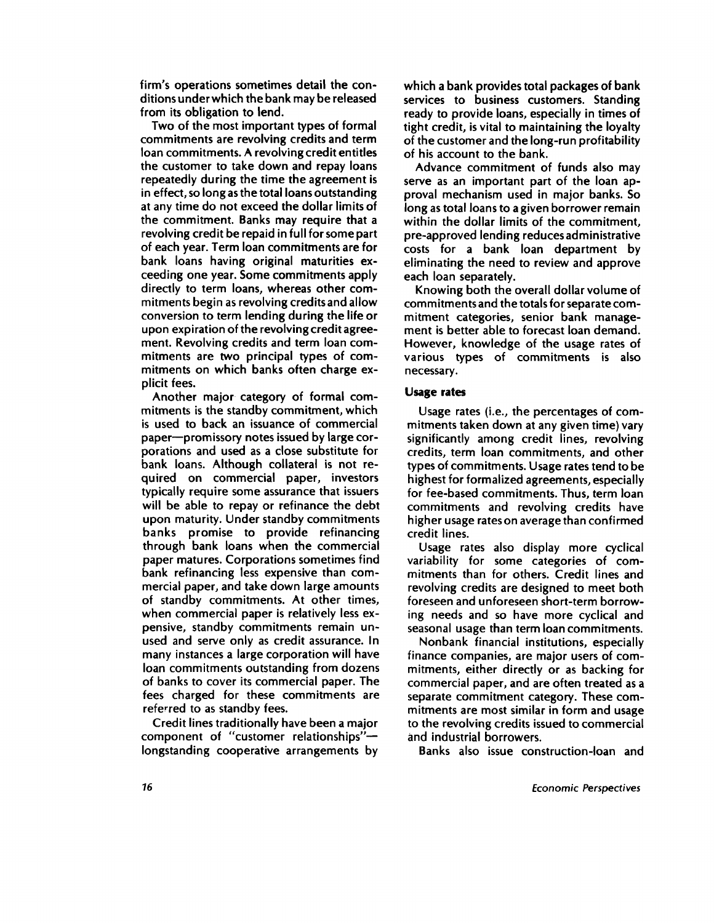**firm's operations sometimes detail the conditions under which the bank may be released from its obligation to lend.**

**Two of the most important types of formal commitments are revolving credits and term loan commitments. A revolving credit entitles the customer to take down and repay loans repeatedly during the time the agreement is in effect, so long as the total loans outstanding at any time do not exceed the dollar limits of the commitment. Banks may require that a revolving credit be repaid in full for some part of each year. Term loan commitments are for bank loans having original maturities exceeding one year. Some commitments apply directly to term loans, whereas other commitments begin as revolving credits and allow conversion to term lending during the life or upon expiration of the revolving credit agreement. Revolving credits and term loan commitments are two principal types of commitments on which banks often charge explicit fees.**

**Another major category of formal commitments is the standby commitment, which is used to back an issuance of commercial paper—promissory notes issued by large corporations and used as a close substitute for bank loans. Although collateral is not required on commercial paper, investors typically require some assurance that issuers will be able to repay or refinance the debt upon maturity. Under standby commitments banks promise to provide refinancing through bank loans when the commercial paper matures. Corporations sometimes find bank refinancing less expensive than commercial paper, and take down large amounts of standby commitments. At other times, when commercial paper is relatively less expensive, standby commitments remain unused and serve only as credit assurance. In many instances a large corporation will have loan commitments outstanding from dozens of banks to cover its commercial paper. The fees charged for these commitments are referred to as standby fees.**

**Credit lines traditionally have been a major component of "customer relationships" longstanding cooperative arrangements by**

**which a bank provides total packages of bank services to business customers. Standing ready to provide loans, especially in times of tight credit, is vital to maintaining the loyalty of the customer and the long-run profitability of his account to the bank.**

**Advance commitment of funds also may serve as an important part of the loan approval mechanism used in major banks. So long as total loans to a given borrower remain within the dollar limits of the commitment, pre-approved lending reduces administrative costs for a bank loan department by eliminating the need to review and approve each loan separately.**

**Knowing both the overall dollar volume of commitments and the totals for separate commitment categories, senior bank management is better able to forecast loan demand. However, knowledge of the usage rates of various types of commitments is also necessary.**

#### **Usage rates**

**Usage rates (i.e., the percentages of commitments taken down at any given time) vary significantly among credit lines, revolving credits, term loan commitments, and other types of commitments. Usage rates tend to be highest for formalized agreements, especially for fee-based commitments. Thus, term loan commitments and revolving credits have higher usage rates on average than confirmed credit lines.**

**Usage rates also display more cyclical variability for some categories of commitments than for others. Credit lines and revolving credits are designed to meet both foreseen and unforeseen short-term borrowing needs and so have more cyclical and seasonal usage than term loan commitments.**

**Nonbank financial institutions, especially finance companies, are major users of commitments, either directly or as backing for commercial paper, and are often treated as a separate commitment category. These commitments are most similar in form and usage to the revolving credits issued to commercial and industrial borrowers.**

**Banks also issue construction-loan and**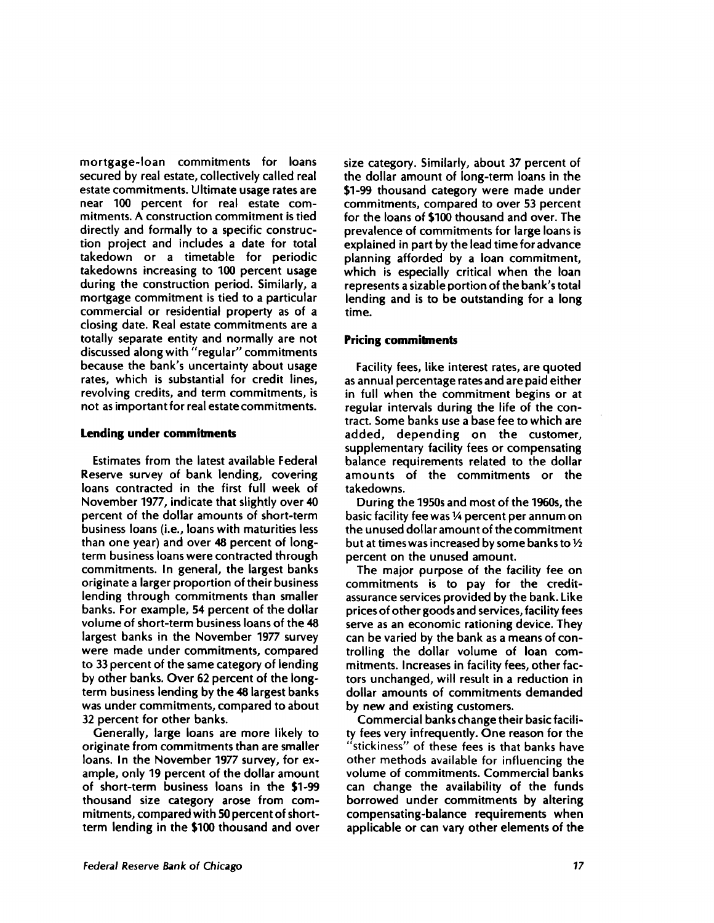**mortgage-loan commitments for loans secured by real estate, collectively called real estate commitments. Ultimate usage rates are near 100 percent for real estate commitments. A construction commitment is tied directly and formally to a specific construction project and includes a date for total takedown or a timetable for periodic takedowns increasing to 100 percent usage during the construction period. Similarly, a mortgage commitment is tied to a particular commercial or residential property as of a closing date. Real estate commitments are a totally separate entity and normally are not discussed along with "regular" commitments because the bank's uncertainty about usage rates, which is substantial for credit lines, revolving credits, and term commitments, is not as important for real estate commitments.**

#### **Lending under commitments**

**Estimates from the latest available Federal Reserve survey of bank lending, covering loans contracted in the first full week of November 1977, indicate that slightly over 40 percent of the dollar amounts of short-term business loans (i.e., loans with maturities less than one year) and over 48 percent of longterm business loans were contracted through commitments. In general, the largest banks originate a larger proportion of their business lending through commitments than smaller banks. For example, 54 percent of the dollar volume of short-term business loans of the 48 largest banks in the November 1977 survey were made under commitments, compared to 33 percent of the same category of lending by other banks. Over 62 percent of the longterm business lending by the 48 largest banks was under commitments, compared to about 32 percent for other banks.**

**Generally, large loans are more likely to originate from commitments than are smaller loans. In the November 1977 survey, for example, only 19 percent of the dollar amount of short-term business loans in the \$1-99 thousand size category arose from commitments, compared with 50 percent of shortterm lending in the \$100 thousand and over** **size category. Similarly, about 37 percent of the dollar amount of long-term loans in the \$1-99 thousand category were made under commitments, compared to over 53 percent for the loans of \$100 thousand and over. The prevalence of commitments for large loans is explained in part by the lead time for advance planning afforded by a loan commitment, which is especially critical when the loan represents a sizable portion of the bank's total lending and is to be outstanding for a long time.**

### **Pricing commitments**

**Facility fees, like interest rates, are quoted as annual percentage rates and are paid either in full when the commitment begins or at regular intervals during the life of the contract. Some banks use a base fee to which are added, depending on the customer, supplementary facility fees or compensating balance requirements related to the dollar amounts of the commitments or the takedowns.**

**During the 1950s and most of the 1960s, the basic facility fee was 1/4 percent per annum on the unused dollar amount of the commitment but at times was increased by some banks to 1/2 percent on the unused amount.**

**The major purpose of the facility fee on commitments is to pay for the creditassurance services provided by the bank. Like prices of other goods and services, facility fees serve as an economic rationing device. They can be varied by the bank as a means of controlling the dollar volume of loan commitments. Increases in facility fees, other factors unchanged, will result in a reduction in dollar amounts of commitments demanded by new and existing customers.**

**Commercial banks change their basic facility fees very infrequently. One reason for the** "stickiness" of these fees is that banks have other methods available for influencing the **volume of commitments. Commercial banks can change the availability of the funds borrowed under commitments by altering compensating-balance requirements when applicable or can vary other elements of the**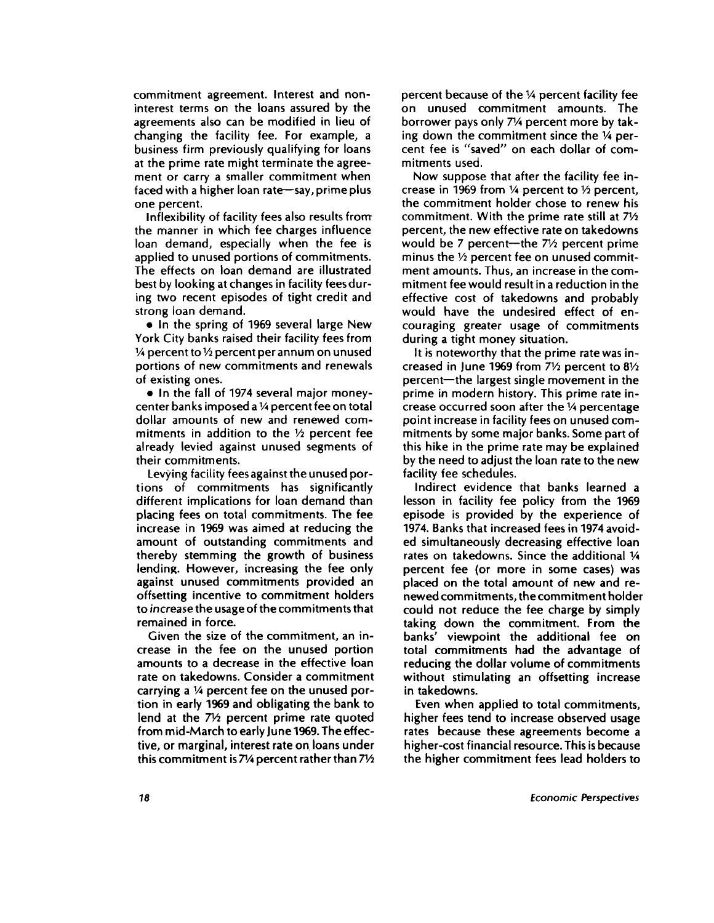**commitment agreement. Interest and noninterest terms on the loans assured by the agreements also can be modified in lieu of changing the facility fee. For example, a business firm previously qualifying for loans at the prime rate might terminate the agreement or carry a smaller commitment when faced with a higher loan rate—say, prime plus one percent.**

**Inflexibility of facility fees also results from manner in which fee charges influence loan demand, especially when the fee is applied to unused portions of commitments. The effects on loan demand are illustrated best by looking at changes in facility fees during two recent episodes of tight credit and strong loan demand.**

**• In the spring of 1969 several large New York City banks raised their facility fees from <sup>1</sup>/4 percent to 1/2 percent per annum on unused portions of new commitments and renewals of existing ones.**

**• In the fall of 1974 several major moneycenter banks imposed a 1/4 percent fee on total dollar amounts of new and renewed commitments in addition to the 1/2 percent fee already levied against unused segments of their commitments.**

**Levying facility fees against the unused portions of commitments has significantly different implications for loan demand than placing fees on total commitments. The fee increase in 1969 was aimed at reducing the amount of outstanding commitments and thereby stemming the growth of business lending. However, increasing the fee only against unused commitments provided an offsetting incentive to commitment holders to increase the usage of the commitments** that **remained in force.**

**Given the size of the commitment, an increase in the fee on the unused portion amounts to a decrease in the effective loan rate on takedowns. Consider a commitment carrying a 1/4 percent fee on the unused portion in early 1969 and obligating the bank to lend at the 71/2 percent prime rate quoted from mid-March to early June 1969. The effective, or marginal, interest rate on loans under this commitment is 71/4 percent rather than 71/2** **percent because of the 1/4 percent facility fee on unused commitment amounts. The borrower pays only 71/4 percent more by taking down the commitment since the IA percent fee is "saved" on each dollar of commitments used.**

**Now suppose that after the facility fee increase in 1969 from IA percent to 1/2 percent, the commitment holder chose to renew his commitment. With the prime rate still at 71/2 percent, the new effective rate on takedowns would be 7 percent—the 71/2 percent prime minus the 1/2 percent fee on unused commitment amounts. Thus, an increase in the commitment fee would result in a reduction in the effective cost of takedowns and probably would have the undesired effect of encouraging greater usage of commitments during a tight money situation.**

**It is noteworthy that the prime rate was increased in June 1969 from 71/2 percent to 81/2 percent—the largest single movement in the prime in modern history. This prime rate increase occurred soon after the** 1/4 **percentage point increase in facility fees on unused commitments by some major banks. Some part of this hike in the prime rate may be explained by the need to adjust the loan rate to the new facility fee schedules.**

**Indirect evidence that banks learned a lesson in facility fee policy from the 1969 episode is provided by the experience of 1974. Banks that increased fees in 1974 avoided simultaneously decreasing effective loan rates on takedowns. Since the additional 1/4 percent fee (or more in some cases) was placed on the total amount of new and renewed commitments, the commitment holder could not reduce the fee charge by simply taking down the commitment. From the banks' viewpoint the additional fee on total commitments had the advantage of reducing the dollar volume of commitments without stimulating an offsetting increase in takedowns.**

**Even when applied to total commitments, higher fees tend to increase observed usage rates because these agreements become a higher-cost financial resource. This is because the higher commitment fees lead holders to**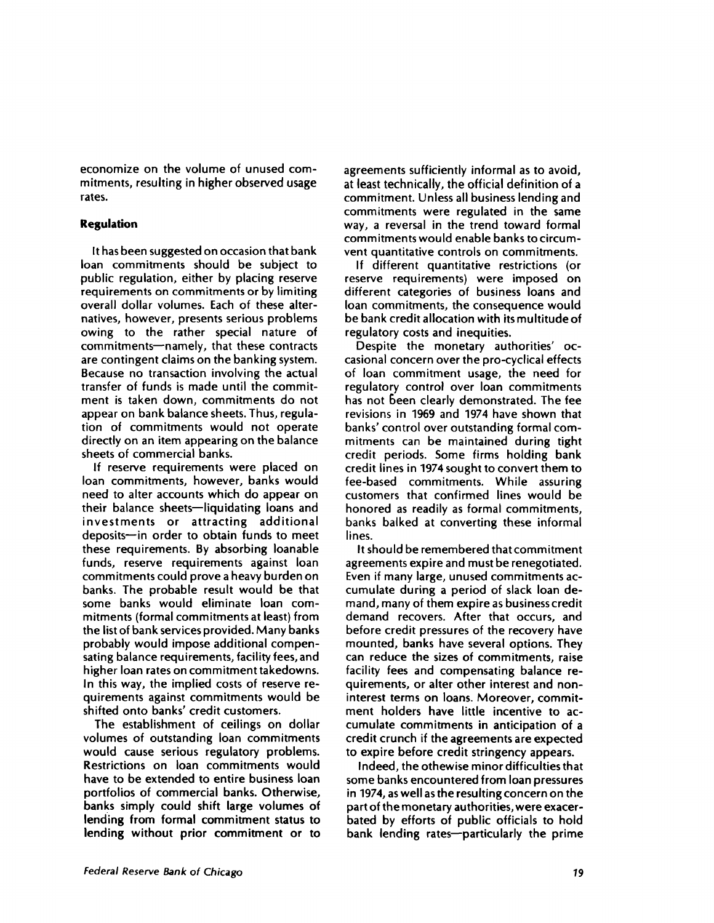**economize on the volume of unused commitments, resulting in higher observed usage rates.**

# **Regulation**

**It has been suggested on occasion that bank loan commitments should be subject to public regulation, either by placing reserve requirements on commitments or by limiting overall dollar volumes. Each of these alternatives, however, presents serious problems owing to the rather special nature of commitments—namely, that these contracts are contingent claims on the banking system. Because no transaction involving the actual transfer of funds is made until the commitment is taken down, commitments do not appear on bank balance sheets. Thus, regulation of commitments would not operate directly on an item appearing on the balance sheets of commercial banks.**

**If reserve requirements were placed on loan commitments, however, banks would need to alter accounts which do appear on their balance sheets—liquidating loans and investments or attracting additional deposits—in order to obtain funds to meet these requirements. By absorbing loanable funds, reserve requirements against loan commitments could prove a heavy burden on banks. The probable result would be that some banks would eliminate loan commitments (formal commitments at least) from the list of bank services provided. Many banks probably would impose additional compensating balance requirements, facility fees, and higher loan rates on commitment takedowns. In this way, the implied costs of reserve requirements against commitments would be shifted onto banks' credit customers.**

**The establishment of ceilings on dollar volumes of outstanding loan commitments would cause serious regulatory problems. Restrictions on loan commitments would have to be extended to entire business loan portfolios of commercial banks. Otherwise, banks simply could shift large volumes of lending from formal commitment status to lending without prior commitment or to** **agreements sufficiently informal as to avoid, at least technically, the official definition of a commitment. Unless all business lending and commitments were regulated in the same way, a reversal in the trend toward formal commitments would enable banks to circumvent quantitative controls on commitments.**

**If different quantitative restrictions (or reserve requirements) were imposed on different categories of business loans and loan commitments, the consequence would be bank credit allocation with its multitude of regulatory costs and inequities.**

**Despite the monetary authorities' occasional concern over the pro-cyclical effects of loan commitment usage, the need for regulatory control over loan commitments has not been clearly demonstrated. The fee revisions in 1969 and 1974 have shown that banks' control over outstanding formal commitments can be maintained during tight credit periods. Some firms holding bank credit lines in 1974 sought to convert them to fee-based commitments. While assuring customers that confirmed lines would be honored as readily as formal commitments, banks balked at converting these informal lines.**

**It should be remembered that commitment agreements expire and must be renegotiated. Even if many large, unused commitments accumulate during a period of slack loan demand, many of them expire as business credit demand recovers. After that occurs, and before credit pressures of the recovery have mounted, banks have several options. They can reduce the sizes of commitments, raise facility fees and compensating balance requirements, or alter other interest and noninterest terms on loans. Moreover, commitment holders have little incentive to accumulate commitments in anticipation of a credit crunch if the agreements are expected to expire before credit stringency appears.**

**Indeed, the othewise minor difficulties that some banks encountered from loan pressures in 1974, as well as the resulting concern on the part of the monetary authorities, were exacerbated by efforts of public officials to hold bank lending rates—particularly the prime**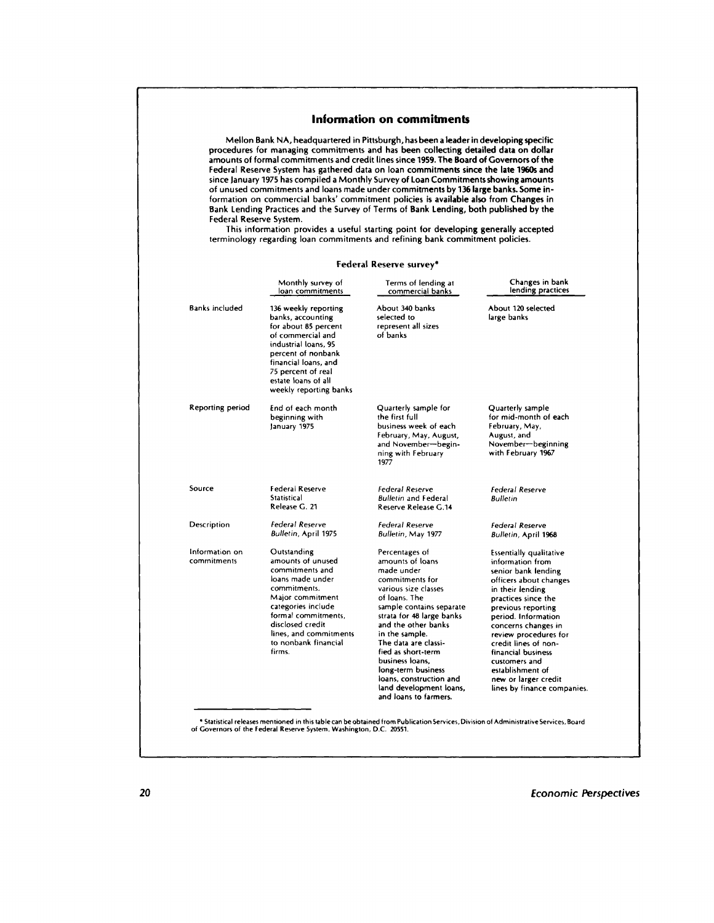### **Information on commitments**

Mellon Bank NA, headquartered in Pittsburgh, has been a leader in developing specific procedures for managing commitments and has been collecting detailed data on dollar amounts of formal commitments and credit lines since 1959. The Board of Governors of the Federal Reserve System has gathered data on loan commitments since the late 1960s and since January 1975 has compiled a Monthly Survey of Loan Commitments showing amounts of unused commitments and loans made under commitments by 136 large banks. Some information on commercial banks' commitment policies is available also from Changes in Bank Lending Practices and the Survey of Terms of Bank Lending, both published by the Federal Reserve System.

This information provides a useful starting point for developing generally accepted terminology regarding loan commitments and refining bank commitment policies.

#### **Federal Reserve surveys**

|                               | Monthly survey of<br>loan commitments                                                                                                                                                                                                    | Terms of lending at<br>commercial banks                                                                                                                                                                                                                                                                                                                                              | Changes in bank<br>lending practices                                                                                                                                                                                                                                                                                                                                                  |
|-------------------------------|------------------------------------------------------------------------------------------------------------------------------------------------------------------------------------------------------------------------------------------|--------------------------------------------------------------------------------------------------------------------------------------------------------------------------------------------------------------------------------------------------------------------------------------------------------------------------------------------------------------------------------------|---------------------------------------------------------------------------------------------------------------------------------------------------------------------------------------------------------------------------------------------------------------------------------------------------------------------------------------------------------------------------------------|
| <b>Banks included</b>         | 136 weekly reporting<br>banks, accounting<br>for about 85 percent<br>of commercial and<br>industrial loans, 95<br>percent of nonbank<br>financial loans, and<br>75 percent of real<br>estate loans of all<br>weekly reporting banks      | About 340 banks<br>selected to<br>represent all sizes<br>of banks                                                                                                                                                                                                                                                                                                                    | About 120 selected<br>large banks                                                                                                                                                                                                                                                                                                                                                     |
| <b>Reporting period</b>       | End of each month<br>beginning with<br>January 1975                                                                                                                                                                                      | Quarterly sample for<br>the first full<br>business week of each<br>February, May, August,<br>and November-begin-<br>ning with February<br>1977                                                                                                                                                                                                                                       | Quarterly sample<br>for mid-month of each<br>February, May,<br>August, and<br>November-beginning<br>with February 1967                                                                                                                                                                                                                                                                |
| Source                        | Federal Reserve<br><b>Statistical</b><br>Release G. 21                                                                                                                                                                                   | Federal Reserve<br><b>Bulletin and Federal</b><br>Reserve Release G.14                                                                                                                                                                                                                                                                                                               | Federal Reserve<br><b>Bulletin</b>                                                                                                                                                                                                                                                                                                                                                    |
| Description                   | <b>Federal Reserve</b><br><b>Bulletin, April 1975</b>                                                                                                                                                                                    | <b>Federal Reserve</b><br>Bulletin, May 1977                                                                                                                                                                                                                                                                                                                                         | <b>Federal Reserve</b><br>Bulletin, April 1968                                                                                                                                                                                                                                                                                                                                        |
| Information on<br>commitments | Outstanding<br>amounts of unused<br>commitments and<br>loans made under<br>commitments.<br>Major commitment<br>categories include<br>formal commitments.<br>disclosed credit<br>lines, and commitments<br>to nonbank financial<br>firms. | Percentages of<br>amounts of loans<br>made under<br>commitments for<br>various size classes<br>of loans. The<br>sample contains separate<br>strata for 48 large banks<br>and the other banks<br>in the sample.<br>The data are classi-<br>fied as short-term<br>business loans,<br>long-term business<br>loans, construction and<br>land development loans,<br>and loans to farmers. | <b>Essentially qualitative</b><br>information from<br>senior bank lending<br>officers about changes<br>in their lending<br>practices since the<br>previous reporting<br>period. Information<br>concerns changes in<br>review procedures for<br>credit lines of non-<br>financial business<br>customers and<br>establishment of<br>new or larger credit<br>lines by finance companies. |

**20** *Economic Perspectives*